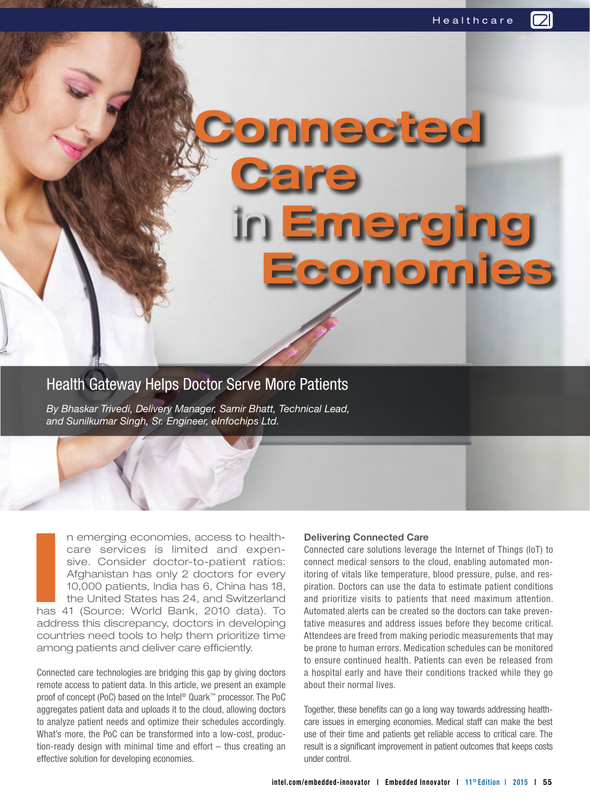Health Gateway Helps Doctor Serve More Patients

**Marie Care** 

*By Bhaskar Trivedi, Delivery Manager, Samir Bhatt, Technical Lead, and Sunilkumar Singh, Sr. Engineer, eInfochips Ltd.*

**I** n emerging economies, access to healthcare services is limited and expensive. Consider doctor-to-patient ratios: Afghanistan has only 2 doctors for every 10,000 patients, India has 6, China has 18, the United States has 24, and Switzerland has 41 (Source: World Bank, 2010 data). To address this discrepancy, doctors in developing countries need tools to help them prioritize time among patients and deliver care efficiently.

Connected care technologies are bridging this gap by giving doctors remote access to patient data. In this article, we present an example proof of concept (PoC) based on the Intel® Quark™ processor. The PoC aggregates patient data and uploads it to the cloud, allowing doctors to analyze patient needs and optimize their schedules accordingly. What's more, the PoC can be transformed into a low-cost, production-ready design with minimal time and effort – thus creating an effective solution for developing economies.

## **Delivering Connected Care**

 **Connected**

in **Emerging**

 **Economies**

Connected care solutions leverage the Internet of Things (IoT) to connect medical sensors to the cloud, enabling automated monitoring of vitals like temperature, blood pressure, pulse, and respiration. Doctors can use the data to estimate patient conditions and prioritize visits to patients that need maximum attention. Automated alerts can be created so the doctors can take preventative measures and address issues before they become critical. Attendees are freed from making periodic measurements that may be prone to human errors. Medication schedules can be monitored to ensure continued health. Patients can even be released from a hospital early and have their conditions tracked while they go about their normal lives.

Together, these benefits can go a long way towards addressing healthcare issues in emerging economies. Medical staff can make the best use of their time and patients get reliable access to critical care. The result is a significant improvement in patient outcomes that keeps costs under control.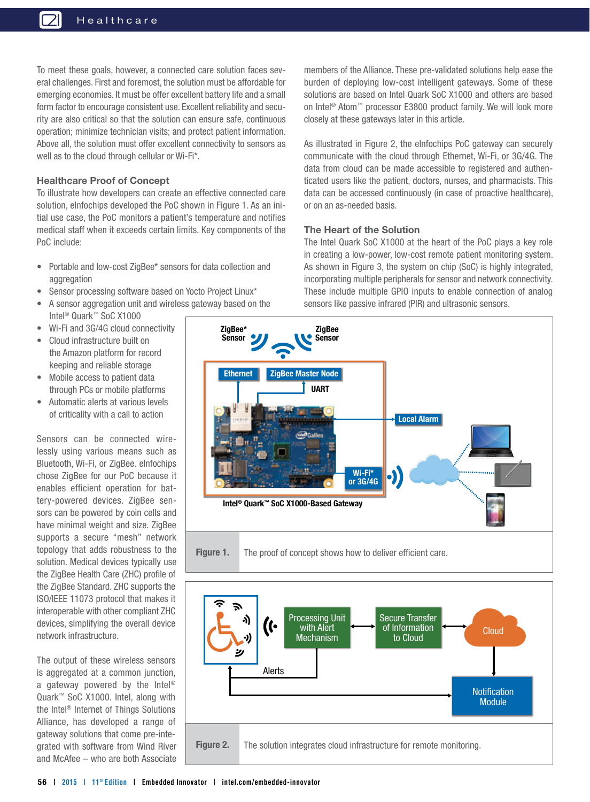To meet these goals, however, a connected care solution faces several challenges. First and foremost, the solution must be affordable for emerging economies. It must be offer excellent battery life and a small form factor to encourage consistent use. Excellent reliability and security are also critical so that the solution can ensure safe, continuous operation; minimize technician visits; and protect patient information. Above all, the solution must offer excellent connectivity to sensors as well as to the cloud through cellular or Wi-Fi\*.

## **Healthcare Proof of Concept**

To illustrate how developers can create an effective connected care solution, eInfochips developed the PoC shown in Figure 1. As an initial use case, the PoC monitors a patient's temperature and notifies medical staff when it exceeds certain limits. Key components of the PoC include:

- Portable and low-cost ZigBee\* sensors for data collection and aggregation
- Sensor processing software based on Yocto Project Linux\*
- A sensor aggregation unit and wireless gateway based on the Intel® Quark™ SoC X1000
- Wi-Fi and 3G/4G cloud connectivity
- Cloud infrastructure built on the Amazon platform for record keeping and reliable storage
- Mobile access to patient data through PCs or mobile platforms
- Automatic alerts at various levels of criticality with a call to action

Sensors can be connected wirelessly using various means such as Bluetooth, Wi-Fi, or ZigBee. eInfochips chose ZigBee for our PoC because it enables efficient operation for battery-powered devices. ZigBee sensors can be powered by coin cells and have minimal weight and size. ZigBee supports a secure "mesh" network topology that adds robustness to the solution. Medical devices typically use the ZigBee Health Care (ZHC) profile of the ZigBee Standard. ZHC supports the ISO/IEEE 11073 protocol that makes it interoperable with other compliant ZHC devices, simplifying the overall device network infrastructure.

The output of these wireless sensors is aggregated at a common junction, a gateway powered by the Intel® Quark™ SoC X1000. Intel, along with the Intel® Internet of Things Solutions Alliance, has developed a range of gateway solutions that come pre-integrated with software from Wind River and McAfee – who are both Associate

members of the Alliance. These pre-validated solutions help ease the burden of deploying low-cost intelligent gateways. Some of these solutions are based on Intel Quark SoC X1000 and others are based on Intel® Atom™ processor E3800 product family. We will look more closely at these gateways later in this article.

As illustrated in Figure 2, the eInfochips PoC gateway can securely communicate with the cloud through Ethernet, Wi-Fi, or 3G/4G. The data from cloud can be made accessible to registered and authenticated users like the patient, doctors, nurses, and pharmacists. This data can be accessed continuously (in case of proactive healthcare), or on an as-needed basis.

## **The Heart of the Solution**

The Intel Quark SoC X1000 at the heart of the PoC plays a key role in creating a low-power, low-cost remote patient monitoring system. As shown in Figure 3, the system on chip (SoC) is highly integrated, incorporating multiple peripherals for sensor and network connectivity. These include multiple GPIO inputs to enable connection of analog sensors like passive infrared (PIR) and ultrasonic sensors.